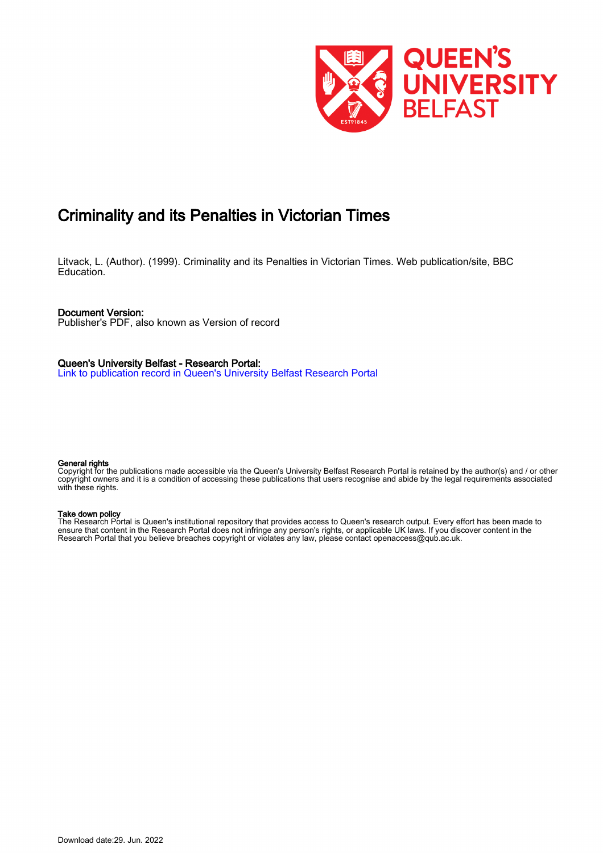

# Criminality and its Penalties in Victorian Times

Litvack, L. (Author). (1999). Criminality and its Penalties in Victorian Times. Web publication/site, BBC Education.

### Document Version:

Publisher's PDF, also known as Version of record

Queen's University Belfast - Research Portal: [Link to publication record in Queen's University Belfast Research Portal](https://pure.qub.ac.uk/en/publications/f682a9e7-f834-4ee2-b3e5-6e60c48aa75c)

#### General rights

Copyright for the publications made accessible via the Queen's University Belfast Research Portal is retained by the author(s) and / or other copyright owners and it is a condition of accessing these publications that users recognise and abide by the legal requirements associated with these rights.

#### Take down policy

The Research Portal is Queen's institutional repository that provides access to Queen's research output. Every effort has been made to ensure that content in the Research Portal does not infringe any person's rights, or applicable UK laws. If you discover content in the Research Portal that you believe breaches copyright or violates any law, please contact openaccess@qub.ac.uk.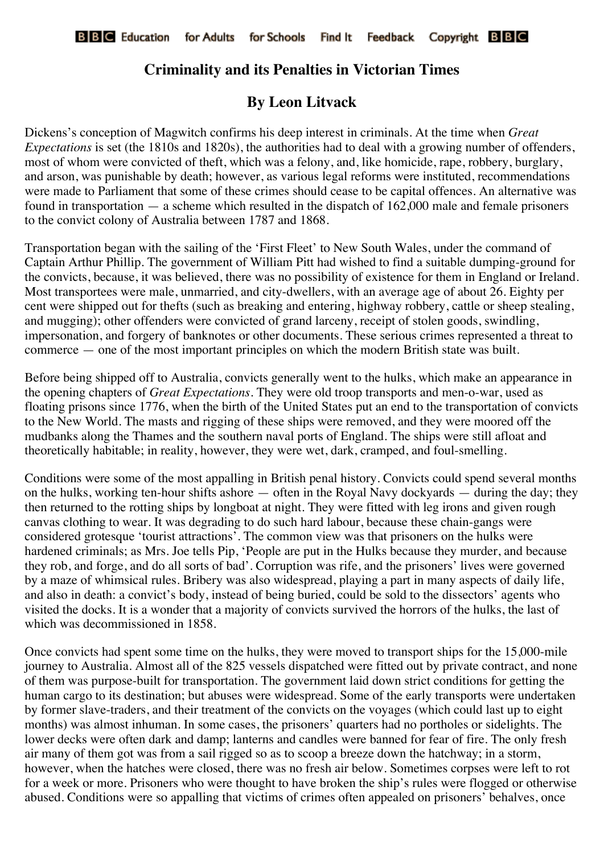## **Criminality and its Penalties in Victorian Times**

## **By Leon Litvack**

Dickens's conception of Magwitch confirms his deep interest in criminals. At the time when *Great Expectations* is set (the 1810s and 1820s), the authorities had to deal with a growing number of offenders, most of whom were convicted of theft, which was a felony, and, like homicide, rape, robbery, burglary, and arson, was punishable by death; however, as various legal reforms were instituted, recommendations were made to Parliament that some of these crimes should cease to be capital offences. An alternative was found in transportation — a scheme which resulted in the dispatch of 162,000 male and female prisoners to the convict colony of Australia between 1787 and 1868.

Transportation began with the sailing of the 'First Fleet' to New South Wales, under the command of Captain Arthur Phillip. The government of William Pitt had wished to find a suitable dumping-ground for the convicts, because, it was believed, there was no possibility of existence for them in England or Ireland. Most transportees were male, unmarried, and city-dwellers, with an average age of about 26. Eighty per cent were shipped out for thefts (such as breaking and entering, highway robbery, cattle or sheep stealing, and mugging); other offenders were convicted of grand larceny, receipt of stolen goods, swindling, impersonation, and forgery of banknotes or other documents. These serious crimes represented a threat to commerce — one of the most important principles on which the modern British state was built.

Before being shipped off to Australia, convicts generally went to the hulks, which make an appearance in the opening chapters of *Great Expectations*. They were old troop transports and men-o-war, used as floating prisons since 1776, when the birth of the United States put an end to the transportation of convicts to the New World. The masts and rigging of these ships were removed, and they were moored off the mudbanks along the Thames and the southern naval ports of England. The ships were still afloat and theoretically habitable; in reality, however, they were wet, dark, cramped, and foul-smelling.

Conditions were some of the most appalling in British penal history. Convicts could spend several months on the hulks, working ten-hour shifts ashore — often in the Royal Navy dockyards — during the day; they then returned to the rotting ships by longboat at night. They were fitted with leg irons and given rough canvas clothing to wear. It was degrading to do such hard labour, because these chain-gangs were considered grotesque 'tourist attractions'. The common view was that prisoners on the hulks were hardened criminals; as Mrs. Joe tells Pip, 'People are put in the Hulks because they murder, and because they rob, and forge, and do all sorts of bad'. Corruption was rife, and the prisoners' lives were governed by a maze of whimsical rules. Bribery was also widespread, playing a part in many aspects of daily life, and also in death: a convict's body, instead of being buried, could be sold to the dissectors' agents who visited the docks. It is a wonder that a majority of convicts survived the horrors of the hulks, the last of which was decommissioned in 1858.

Once convicts had spent some time on the hulks, they were moved to transport ships for the 15,000-mile journey to Australia. Almost all of the 825 vessels dispatched were fitted out by private contract, and none of them was purpose-built for transportation. The government laid down strict conditions for getting the human cargo to its destination; but abuses were widespread. Some of the early transports were undertaken by former slave-traders, and their treatment of the convicts on the voyages (which could last up to eight months) was almost inhuman. In some cases, the prisoners' quarters had no portholes or sidelights. The lower decks were often dark and damp; lanterns and candles were banned for fear of fire. The only fresh air many of them got was from a sail rigged so as to scoop a breeze down the hatchway; in a storm, however, when the hatches were closed, there was no fresh air below. Sometimes corpses were left to rot for a week or more. Prisoners who were thought to have broken the ship's rules were flogged or otherwise abused. Conditions were so appalling that victims of crimes often appealed on prisoners' behalves, once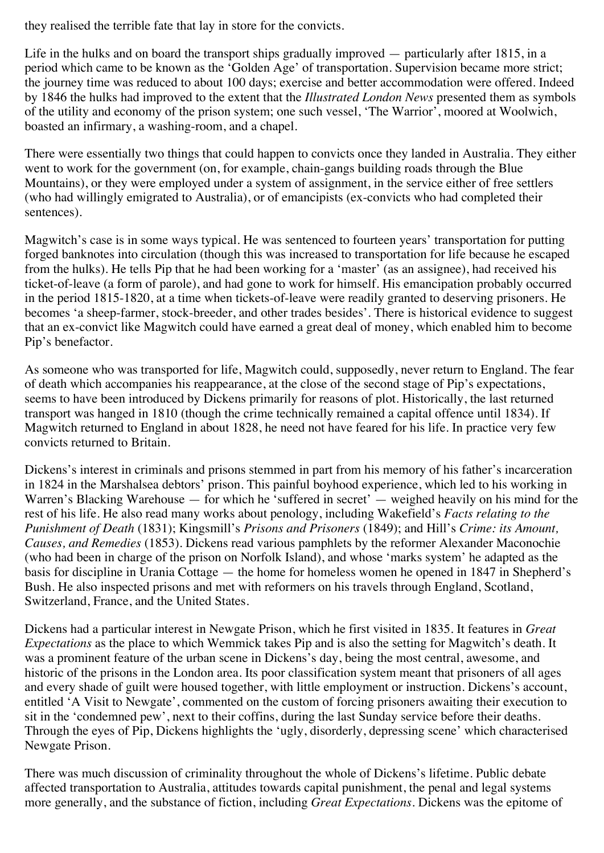they realised the terrible fate that lay in store for the convicts.

Life in the hulks and on board the transport ships gradually improved — particularly after 1815, in a period which came to be known as the 'Golden Age' of transportation. Supervision became more strict; the journey time was reduced to about 100 days; exercise and better accommodation were offered. Indeed by 1846 the hulks had improved to the extent that the *Illustrated London News* presented them as symbols of the utility and economy of the prison system; one such vessel, 'The Warrior', moored at Woolwich, boasted an infirmary, a washing-room, and a chapel.

There were essentially two things that could happen to convicts once they landed in Australia. They either went to work for the government (on, for example, chain-gangs building roads through the Blue Mountains), or they were employed under a system of assignment, in the service either of free settlers (who had willingly emigrated to Australia), or of emancipists (ex-convicts who had completed their sentences).

Magwitch's case is in some ways typical. He was sentenced to fourteen years' transportation for putting forged banknotes into circulation (though this was increased to transportation for life because he escaped from the hulks). He tells Pip that he had been working for a 'master' (as an assignee), had received his ticket-of-leave (a form of parole), and had gone to work for himself. His emancipation probably occurred in the period 1815-1820, at a time when tickets-of-leave were readily granted to deserving prisoners. He becomes 'a sheep-farmer, stock-breeder, and other trades besides'. There is historical evidence to suggest that an ex-convict like Magwitch could have earned a great deal of money, which enabled him to become Pip's benefactor.

As someone who was transported for life, Magwitch could, supposedly, never return to England. The fear of death which accompanies his reappearance, at the close of the second stage of Pip's expectations, seems to have been introduced by Dickens primarily for reasons of plot. Historically, the last returned transport was hanged in 1810 (though the crime technically remained a capital offence until 1834). If Magwitch returned to England in about 1828, he need not have feared for his life. In practice very few convicts returned to Britain.

Dickens's interest in criminals and prisons stemmed in part from his memory of his father's incarceration in 1824 in the Marshalsea debtors' prison. This painful boyhood experience, which led to his working in Warren's Blacking Warehouse  $-$  for which he 'suffered in secret'  $-$  weighed heavily on his mind for the rest of his life. He also read many works about penology, including Wakefield's *Facts relating to the Punishment of Death* (1831); Kingsmill's *Prisons and Prisoners* (1849); and Hill's *Crime: its Amount, Causes, and Remedies* (1853). Dickens read various pamphlets by the reformer Alexander Maconochie (who had been in charge of the prison on Norfolk Island), and whose 'marks system' he adapted as the basis for discipline in Urania Cottage — the home for homeless women he opened in 1847 in Shepherd's Bush. He also inspected prisons and met with reformers on his travels through England, Scotland, Switzerland, France, and the United States.

Dickens had a particular interest in Newgate Prison, which he first visited in 1835. It features in *Great Expectations* as the place to which Wemmick takes Pip and is also the setting for Magwitch's death. It was a prominent feature of the urban scene in Dickens's day, being the most central, awesome, and historic of the prisons in the London area. Its poor classification system meant that prisoners of all ages and every shade of guilt were housed together, with little employment or instruction. Dickens's account, entitled 'A Visit to Newgate', commented on the custom of forcing prisoners awaiting their execution to sit in the 'condemned pew', next to their coffins, during the last Sunday service before their deaths. Through the eyes of Pip, Dickens highlights the 'ugly, disorderly, depressing scene' which characterised Newgate Prison.

There was much discussion of criminality throughout the whole of Dickens's lifetime. Public debate affected transportation to Australia, attitudes towards capital punishment, the penal and legal systems more generally, and the substance of fiction, including *Great Expectations*. Dickens was the epitome of